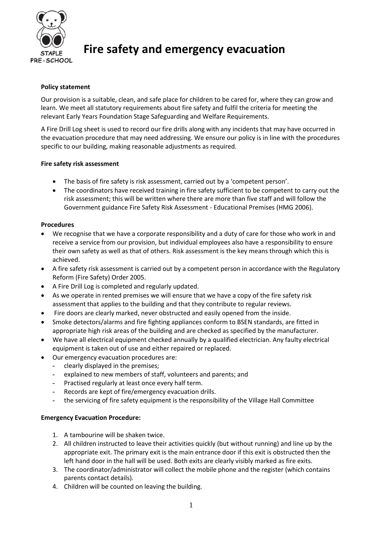

# **Fire safety and emergency evacuation**

# **Policy statement**

Our provision is a suitable, clean, and safe place for children to be cared for, where they can grow and learn. We meet all statutory requirements about fire safety and fulfil the criteria for meeting the relevant Early Years Foundation Stage Safeguarding and Welfare Requirements.

A Fire Drill Log sheet is used to record our fire drills along with any incidents that may have occurred in the evacuation procedure that may need addressing. We ensure our policy is in line with the procedures specific to our building, making reasonable adjustments as required.

# **Fire safety risk assessment**

- The basis of fire safety is risk assessment, carried out by a 'competent person'.
- The coordinators have received training in fire safety sufficient to be competent to carry out the risk assessment; this will be written where there are more than five staff and will follow the Government guidance Fire Safety Risk Assessment - Educational Premises (HMG 2006).

## **Procedures**

- We recognise that we have a corporate responsibility and a duty of care for those who work in and receive a service from our provision, but individual employees also have a responsibility to ensure their own safety as well as that of others. Risk assessment is the key means through which this is achieved.
- A fire safety risk assessment is carried out by a competent person in accordance with the Regulatory Reform (Fire Safety) Order 2005.
- A Fire Drill Log is completed and regularly updated.
- As we operate in rented premises we will ensure that we have a copy of the fire safety risk assessment that applies to the building and that they contribute to regular reviews.
- Fire doors are clearly marked, never obstructed and easily opened from the inside.
- Smoke detectors/alarms and fire fighting appliances conform to BSEN standards, are fitted in appropriate high risk areas of the building and are checked as specified by the manufacturer.
- We have all electrical equipment checked annually by a qualified electrician. Any faulty electrical equipment is taken out of use and either repaired or replaced.
- Our emergency evacuation procedures are:
	- **-** clearly displayed in the premises;
	- **-** explained to new members of staff, volunteers and parents; and
	- **-** Practised regularly at least once every half term.
	- **-** Records are kept of fire/emergency evacuation drills.
	- **-** the servicing of fire safety equipment is the responsibility of the Village Hall Committee

# **Emergency Evacuation Procedure:**

- 1. A tambourine will be shaken twice.
- 2. All children instructed to leave their activities quickly (but without running) and line up by the appropriate exit. The primary exit is the main entrance door if this exit is obstructed then the left hand door in the hall will be used. Both exits are clearly visibly marked as fire exits.
- 3. The coordinator/administrator will collect the mobile phone and the register (which contains parents contact details).
- 4. Children will be counted on leaving the building.